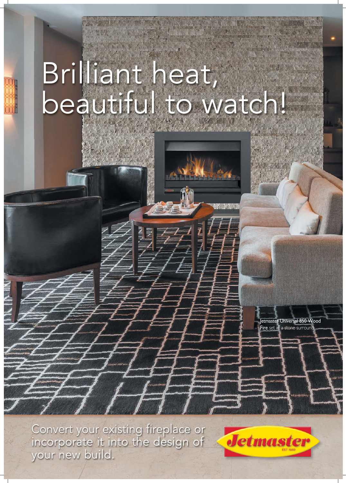# Brilliant heat, beautiful to watch!

Jetmaster Universal 850 Wood Fire set in a stone surrour

Convert your existing fireplace or incorporate it into the design of your new build.

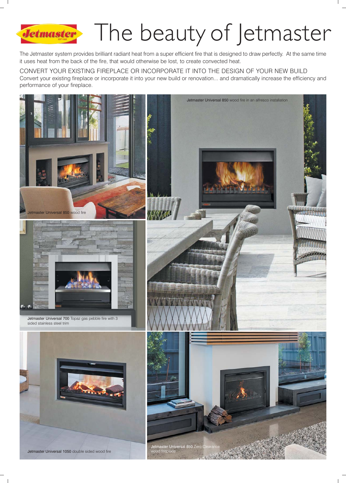## Jetmaster The beauty of Jetmaster

The Jetmaster system provides brilliant radiant heat from a super efficient fire that is designed to draw perfectly. At the same time it uses heat from the back of the fire, that would otherwise be lost, to create convected heat.

CONVERT YOUR EXISTING FIREPLACE OR INCORPORATE IT INTO THE DESIGN OF YOUR NEW BUILD Convert your existing fireplace or incorporate it into your new build or renovation... and dramatically increase the efficiency and performance of your fireplace.

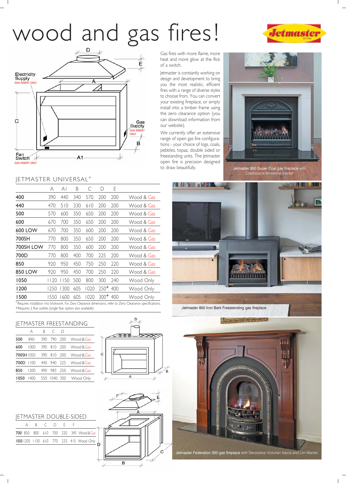## wood and gas fires!





#### JETMASTER UNIVERSAL\*

|                | Α    | ΑI    | Β   | С    | D      | E   |            |
|----------------|------|-------|-----|------|--------|-----|------------|
| 400            | 390  | 440   | 340 | 570  | 200    | 200 | Wood & Gas |
| 440            | 470  | 510   | 330 | 610  | 200    | 200 | Wood & Gas |
| 500            | 570  | 600   | 350 | 650  | 200    | 200 | Wood & Gas |
| 600            | 670  | 700   | 350 | 650  | 200    | 200 | Wood & Gas |
| 600 LOW        | 670  | 700   | 350 | 600  | 200    | 200 | Wood & Gas |
| 700SH          | 770  | 800   | 350 | 650  | 200    | 200 | Wood & Gas |
| 700SH LOW      | 770  | 800   | 350 | 600  | 200    | 200 | Wood & Gas |
| 700D           | 770  | 800   | 400 | 700  | 225    | 200 | Wood & Gas |
| 850            | 920  | 950   | 450 | 750  | 250    | 220 | Wood & Gas |
| <b>850 LOW</b> | 920  | 950   | 450 | 700  | 250    | 220 | Wood & Gas |
| 1050           | 20   | l 150 | 500 | 800  | 300    | 240 | Wood Only  |
| 1200           | 1250 | 1300  | 605 | 1020 | $250+$ | 400 | Wood Only  |
| 1500           | 1550 | 1600  | 605 | 1020 | $300+$ | 400 | Wood Only  |
|                |      |       |     |      |        |     |            |

\*Requires installation into brickwork. For Zero Clearance dimensions, refer to Zero Clearance specifications.

#### JETMASTER FREESTANDING

|            |      | R   | С    | D    |            |
|------------|------|-----|------|------|------------|
| 500        | 840  | 390 | 790  | 200  | Wood & Gas |
| 600        | 1000 | 390 | 810  | 200  | Wood & Gas |
| 700SH 1050 |      | 390 | 810  | 200  | Wood & Gas |
| 700D       | 1100 | 440 | 940  | 225  | Wood & Gas |
| 850        | 1200 | 490 | 983  | 250  | Wood & Gas |
| 1050       | 1400 | 550 | 1040 | -300 | Wood Only  |



#### JETMASTER DOUBLE-SIDED

|  |  | R C D F F |  |                                          |  |
|--|--|-----------|--|------------------------------------------|--|
|  |  |           |  | 700 850 800 610 700 220 345 Wood & Gas   |  |
|  |  |           |  | 1050 1205 1150 610 770 233 415 Wood Only |  |





Gas fires with more flame, more heat and more glow at the flick of a switch.

Jetmaster is constantly working on design and development to bring you the most realistic, efficient fires with a range of diverse styles to choose from. You can convert your existing fireplace, or simply install into a timber frame using the zero clearance option (you can download information from our website).

We currently offer an extensive range of open gas fire configurations - your choice of logs, coals, pebbles, topaz, double sided or freestanding units. The Jetmaster open fire is precision designed to draw beautifully.



Jetmaster 850 Super Coal gas fireplace with Cranbourne limestone mantel



Jetmaster Federation 300 gas fireplace with Decorative Victorian fascia and Urn Mantel